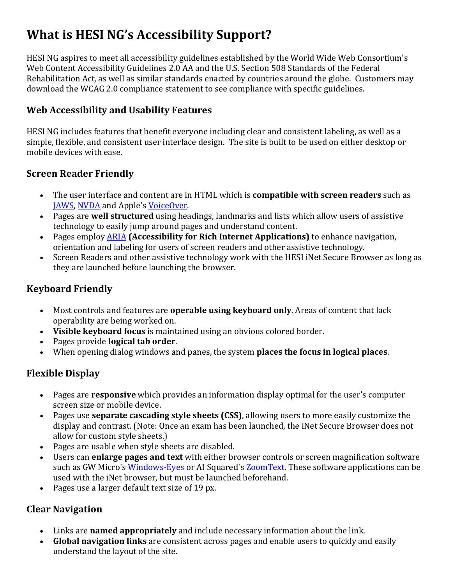# **What is HESI NG's Accessibility Support?**

HESI NG aspires to meet all accessibility guidelines established by the World Wide Web Consortium's Web Content Accessibility Guidelines 2.0 AA and the U.S. Section 508 Standards of the Federal Rehabilitation Act, as well as similar standards enacted by countries around the globe. Customers may download the WCAG 2.0 compliance statement to see compliance with specific guidelines.

#### **Web Accessibility and Usability Features**

HESI NG includes features that benefit everyone including clear and consistent labeling, as well as a simple, flexible, and consistent user interface design. The site is built to be used on either desktop or mobile devices with ease.

## **Screen Reader Friendly**

- The user interface and content are in HTML which is **compatible with screen readers** such as [JAWS,](http://www.freedomscientific.com/products/fs/jaws-product-page.asp) [NVDA](http://www.nvaccess.org/) and Apple's [VoiceOver.](http://www.apple.com/accessibility/osx/voiceover)
- Pages are **well structured** using headings, landmarks and lists which allow users of assistive technology to easily jump around pages and understand content.
- Pages employ [ARIA](http://www.w3.org/WAI/intro/aria) **(Accessibility for Rich Internet Applications)** to enhance navigation, orientation and labeling for users of screen readers and other assistive technology.
- Screen Readers and other assistive technology work with the HESI iNet Secure Browser as long as they are launched before launching the browser.

## **Keyboard Friendly**

- Most controls and features are **operable using keyboard only**. Areas of content that lack operability are being worked on.
- **Visible keyboard focus** is maintained using an obvious colored border.
- Pages provide **logical tab order**.
- When opening dialog windows and panes, the system **places the focus in logical places**.

## **Flexible Display**

- Pages are **responsive** which provides an information display optimal for the user's computer screen size or mobile device.
- Pages use **separate cascading style sheets (CSS)**, allowing users to more easily customize the display and contrast. (Note: Once an exam has been launched, the iNet Secure Browser does not allow for custom style sheets.)
- Pages are usable when style sheets are disabled.
- Users can **enlarge pages and text** with either browser controls or screen magnification software such as GW Micro's [Windows-Eyes](https://www.gwmicro.com/Window-Eyes) or AI Squared'[s ZoomText.](http://www.aisquared.com/zoomtext) These software applications can be used with the iNet browser, but must be launched beforehand.
- Pages use a larger default text size of 19 px.

## **Clear Navigation**

- Links are **named appropriately** and include necessary information about the link.
- **Global navigation links** are consistent across pages and enable users to quickly and easily understand the layout of the site.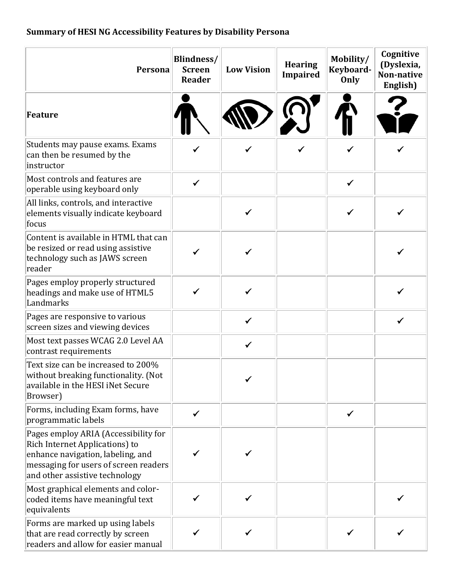## **Summary of HESI NG Accessibility Features by Disability Persona**

| Persona                                                                                                                                                                                | Blindness/<br><b>Screen</b><br><b>Reader</b> | <b>Low Vision</b> | <b>Hearing</b><br><b>Impaired</b> | Mobility/<br>Keyboard-<br>Only | Cognitive<br>(Dyslexia,<br>Non-native<br>English) |
|----------------------------------------------------------------------------------------------------------------------------------------------------------------------------------------|----------------------------------------------|-------------------|-----------------------------------|--------------------------------|---------------------------------------------------|
| Feature                                                                                                                                                                                |                                              |                   |                                   |                                |                                                   |
| Students may pause exams. Exams<br>can then be resumed by the<br>instructor                                                                                                            |                                              |                   |                                   | ✓                              |                                                   |
| Most controls and features are<br>operable using keyboard only                                                                                                                         | $\checkmark$                                 |                   |                                   | $\checkmark$                   |                                                   |
| All links, controls, and interactive<br>elements visually indicate keyboard<br>focus                                                                                                   |                                              |                   |                                   |                                |                                                   |
| Content is available in HTML that can<br>be resized or read using assistive<br>technology such as JAWS screen<br>reader                                                                |                                              |                   |                                   |                                |                                                   |
| Pages employ properly structured<br>headings and make use of HTML5<br>Landmarks                                                                                                        |                                              |                   |                                   |                                |                                                   |
| Pages are responsive to various<br>screen sizes and viewing devices                                                                                                                    |                                              |                   |                                   |                                |                                                   |
| Most text passes WCAG 2.0 Level AA<br>contrast requirements                                                                                                                            |                                              |                   |                                   |                                |                                                   |
| Text size can be increased to 200%<br>without breaking functionality. (Not<br>available in the HESI iNet Secure<br>Browser)                                                            |                                              | $\epsilon$        |                                   |                                |                                                   |
| Forms, including Exam forms, have<br>programmatic labels                                                                                                                               | ✓                                            |                   |                                   | $\checkmark$                   |                                                   |
| Pages employ ARIA (Accessibility for<br>Rich Internet Applications) to<br>enhance navigation, labeling, and<br>messaging for users of screen readers<br>and other assistive technology |                                              |                   |                                   |                                |                                                   |
| Most graphical elements and color-<br>coded items have meaningful text<br>equivalents                                                                                                  |                                              |                   |                                   |                                |                                                   |
| Forms are marked up using labels<br>that are read correctly by screen<br>readers and allow for easier manual                                                                           |                                              |                   |                                   | ✓                              |                                                   |